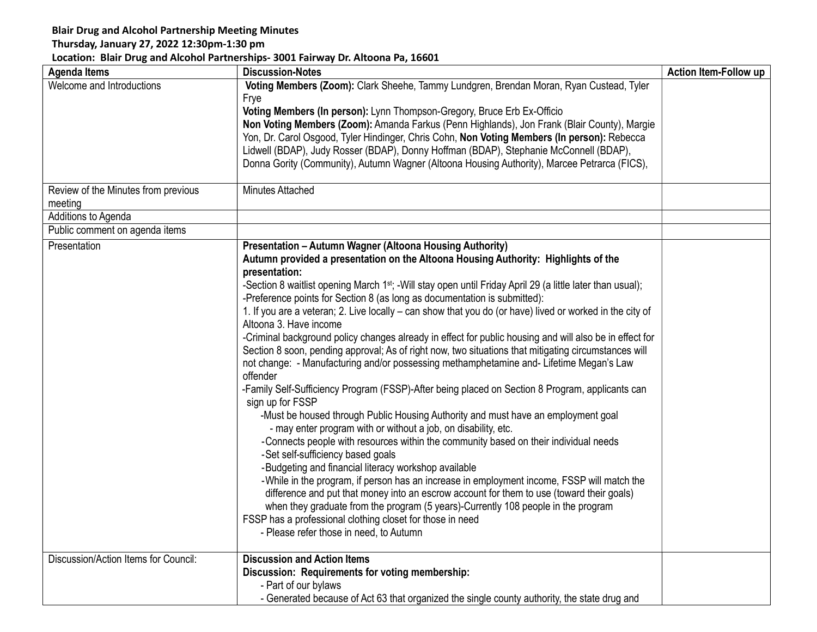## Blair Drug and Alcohol Partnership Meeting Minutes

## Thursday, January 27, 2022 12:30pm-1:30 pm

## Location: Blair Drug and Alcohol Partnerships- 3001 Fairway Dr. Altoona Pa, 16601

| <b>Agenda Items</b>                  | <b>Discussion-Notes</b>                                                                                                | Action Item-Follow up |
|--------------------------------------|------------------------------------------------------------------------------------------------------------------------|-----------------------|
| Welcome and Introductions            | Voting Members (Zoom): Clark Sheehe, Tammy Lundgren, Brendan Moran, Ryan Custead, Tyler                                |                       |
|                                      | Frye                                                                                                                   |                       |
|                                      | Voting Members (In person): Lynn Thompson-Gregory, Bruce Erb Ex-Officio                                                |                       |
|                                      | Non Voting Members (Zoom): Amanda Farkus (Penn Highlands), Jon Frank (Blair County), Margie                            |                       |
|                                      | Yon, Dr. Carol Osgood, Tyler Hindinger, Chris Cohn, Non Voting Members (In person): Rebecca                            |                       |
|                                      | Lidwell (BDAP), Judy Rosser (BDAP), Donny Hoffman (BDAP), Stephanie McConnell (BDAP),                                  |                       |
|                                      | Donna Gority (Community), Autumn Wagner (Altoona Housing Authority), Marcee Petrarca (FICS),                           |                       |
| Review of the Minutes from previous  | Minutes Attached                                                                                                       |                       |
| meeting                              |                                                                                                                        |                       |
| Additions to Agenda                  |                                                                                                                        |                       |
| Public comment on agenda items       |                                                                                                                        |                       |
| Presentation                         | Presentation - Autumn Wagner (Altoona Housing Authority)                                                               |                       |
|                                      | Autumn provided a presentation on the Altoona Housing Authority: Highlights of the<br>presentation:                    |                       |
|                                      | -Section 8 waitlist opening March 1 <sup>st</sup> ; -Will stay open until Friday April 29 (a little later than usual); |                       |
|                                      | -Preference points for Section 8 (as long as documentation is submitted):                                              |                       |
|                                      | 1. If you are a veteran; 2. Live locally – can show that you do (or have) lived or worked in the city of               |                       |
|                                      | Altoona 3. Have income                                                                                                 |                       |
|                                      | -Criminal background policy changes already in effect for public housing and will also be in effect for                |                       |
|                                      | Section 8 soon, pending approval; As of right now, two situations that mitigating circumstances will                   |                       |
|                                      | not change: - Manufacturing and/or possessing methamphetamine and-Lifetime Megan's Law                                 |                       |
|                                      | offender                                                                                                               |                       |
|                                      | -Family Self-Sufficiency Program (FSSP)-After being placed on Section 8 Program, applicants can<br>sign up for FSSP    |                       |
|                                      | -Must be housed through Public Housing Authority and must have an employment goal                                      |                       |
|                                      | - may enter program with or without a job, on disability, etc.                                                         |                       |
|                                      | -Connects people with resources within the community based on their individual needs                                   |                       |
|                                      | -Set self-sufficiency based goals                                                                                      |                       |
|                                      | -Budgeting and financial literacy workshop available                                                                   |                       |
|                                      | -While in the program, if person has an increase in employment income, FSSP will match the                             |                       |
|                                      | difference and put that money into an escrow account for them to use (toward their goals)                              |                       |
|                                      | when they graduate from the program (5 years)-Currently 108 people in the program                                      |                       |
|                                      | FSSP has a professional clothing closet for those in need                                                              |                       |
|                                      | - Please refer those in need, to Autumn                                                                                |                       |
| Discussion/Action Items for Council: | <b>Discussion and Action Items</b>                                                                                     |                       |
|                                      | Discussion: Requirements for voting membership:                                                                        |                       |
|                                      | - Part of our bylaws                                                                                                   |                       |
|                                      | - Generated because of Act 63 that organized the single county authority, the state drug and                           |                       |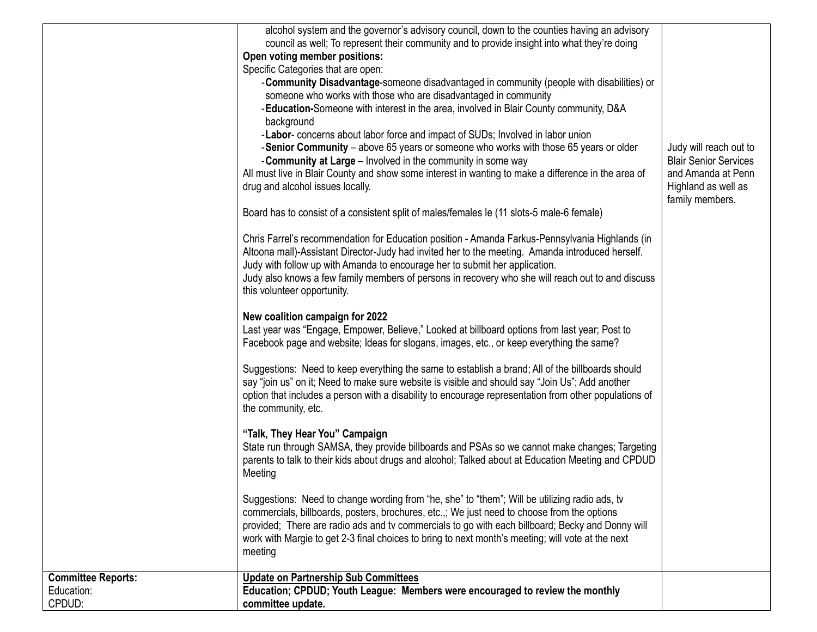|                                                   | alcohol system and the governor's advisory council, down to the counties having an advisory<br>council as well; To represent their community and to provide insight into what they're doing<br>Open voting member positions:<br>Specific Categories that are open:<br>- Community Disadvantage-someone disadvantaged in community (people with disabilities) or<br>someone who works with those who are disadvantaged in community<br>-Education-Someone with interest in the area, involved in Blair County community, D&A<br>background<br>-Labor- concerns about labor force and impact of SUDs; Involved in labor union<br>-Senior Community - above 65 years or someone who works with those 65 years or older<br>- Community at Large - Involved in the community in some way<br>All must live in Blair County and show some interest in wanting to make a difference in the area of<br>drug and alcohol issues locally.<br>Board has to consist of a consistent split of males/females le (11 slots-5 male-6 female)<br>Chris Farrel's recommendation for Education position - Amanda Farkus-Pennsylvania Highlands (in<br>Altoona mall)-Assistant Director-Judy had invited her to the meeting. Amanda introduced herself.<br>Judy with follow up with Amanda to encourage her to submit her application.<br>Judy also knows a few family members of persons in recovery who she will reach out to and discuss<br>this volunteer opportunity.<br>New coalition campaign for 2022<br>Last year was "Engage, Empower, Believe," Looked at billboard options from last year; Post to<br>Facebook page and website; Ideas for slogans, images, etc., or keep everything the same?<br>Suggestions: Need to keep everything the same to establish a brand; All of the billboards should<br>say "join us" on it; Need to make sure website is visible and should say "Join Us"; Add another<br>option that includes a person with a disability to encourage representation from other populations of<br>the community, etc.<br>"Talk, They Hear You" Campaign<br>State run through SAMSA, they provide billboards and PSAs so we cannot make changes; Targeting<br>parents to talk to their kids about drugs and alcohol; Talked about at Education Meeting and CPDUD<br>Meeting<br>Suggestions: Need to change wording from "he, she" to "them"; Will be utilizing radio ads, tv | Judy will reach out to<br><b>Blair Senior Services</b><br>and Amanda at Penn<br>Highland as well as<br>family members. |
|---------------------------------------------------|------------------------------------------------------------------------------------------------------------------------------------------------------------------------------------------------------------------------------------------------------------------------------------------------------------------------------------------------------------------------------------------------------------------------------------------------------------------------------------------------------------------------------------------------------------------------------------------------------------------------------------------------------------------------------------------------------------------------------------------------------------------------------------------------------------------------------------------------------------------------------------------------------------------------------------------------------------------------------------------------------------------------------------------------------------------------------------------------------------------------------------------------------------------------------------------------------------------------------------------------------------------------------------------------------------------------------------------------------------------------------------------------------------------------------------------------------------------------------------------------------------------------------------------------------------------------------------------------------------------------------------------------------------------------------------------------------------------------------------------------------------------------------------------------------------------------------------------------------------------------------------------------------------------------------------------------------------------------------------------------------------------------------------------------------------------------------------------------------------------------------------------------------------------------------------------------------------------------------------------------------------------------------------------------------------------------------------------------------------------------------------|------------------------------------------------------------------------------------------------------------------------|
|                                                   | commercials, billboards, posters, brochures, etc.,; We just need to choose from the options<br>provided; There are radio ads and tv commercials to go with each billboard; Becky and Donny will<br>work with Margie to get 2-3 final choices to bring to next month's meeting; will vote at the next                                                                                                                                                                                                                                                                                                                                                                                                                                                                                                                                                                                                                                                                                                                                                                                                                                                                                                                                                                                                                                                                                                                                                                                                                                                                                                                                                                                                                                                                                                                                                                                                                                                                                                                                                                                                                                                                                                                                                                                                                                                                               |                                                                                                                        |
| <b>Committee Reports:</b><br>Education:<br>CPDUD: | meeting<br><b>Update on Partnership Sub Committees</b><br>Education; CPDUD; Youth League: Members were encouraged to review the monthly<br>committee update.                                                                                                                                                                                                                                                                                                                                                                                                                                                                                                                                                                                                                                                                                                                                                                                                                                                                                                                                                                                                                                                                                                                                                                                                                                                                                                                                                                                                                                                                                                                                                                                                                                                                                                                                                                                                                                                                                                                                                                                                                                                                                                                                                                                                                       |                                                                                                                        |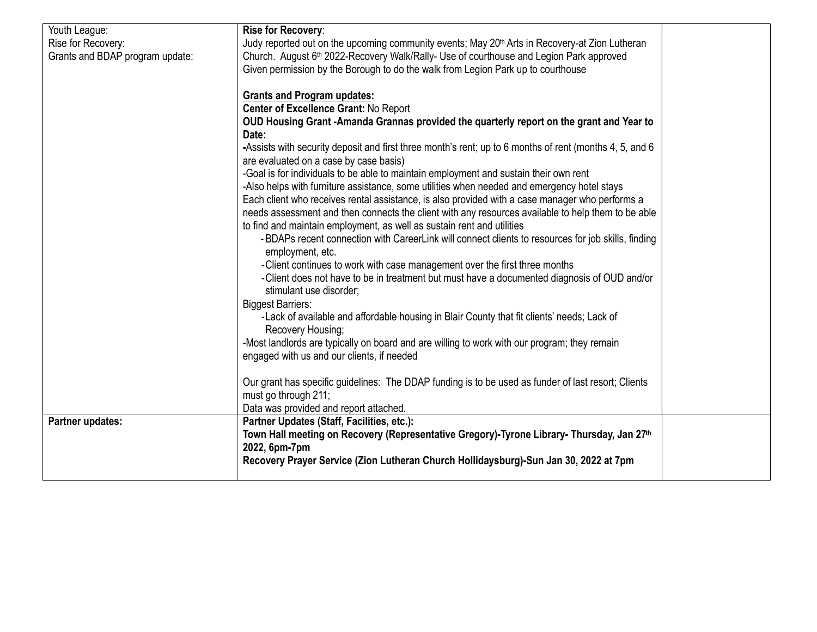| Youth League:                   | Rise for Recovery:                                                                                         |  |
|---------------------------------|------------------------------------------------------------------------------------------------------------|--|
| Rise for Recovery:              | Judy reported out on the upcoming community events; May 20 <sup>th</sup> Arts in Recovery-at Zion Lutheran |  |
| Grants and BDAP program update: | Church. August 6 <sup>th</sup> 2022-Recovery Walk/Rally- Use of courthouse and Legion Park approved        |  |
|                                 | Given permission by the Borough to do the walk from Legion Park up to courthouse                           |  |
|                                 |                                                                                                            |  |
|                                 | <b>Grants and Program updates:</b>                                                                         |  |
|                                 | Center of Excellence Grant: No Report                                                                      |  |
|                                 | OUD Housing Grant -Amanda Grannas provided the quarterly report on the grant and Year to                   |  |
|                                 | Date:                                                                                                      |  |
|                                 | -Assists with security deposit and first three month's rent; up to 6 months of rent (months 4, 5, and 6    |  |
|                                 | are evaluated on a case by case basis)                                                                     |  |
|                                 | -Goal is for individuals to be able to maintain employment and sustain their own rent                      |  |
|                                 | -Also helps with furniture assistance, some utilities when needed and emergency hotel stays                |  |
|                                 | Each client who receives rental assistance, is also provided with a case manager who performs a            |  |
|                                 | needs assessment and then connects the client with any resources available to help them to be able         |  |
|                                 | to find and maintain employment, as well as sustain rent and utilities                                     |  |
|                                 |                                                                                                            |  |
|                                 | - BDAPs recent connection with CareerLink will connect clients to resources for job skills, finding        |  |
|                                 | employment, etc.                                                                                           |  |
|                                 | -Client continues to work with case management over the first three months                                 |  |
|                                 | -Client does not have to be in treatment but must have a documented diagnosis of OUD and/or                |  |
|                                 | stimulant use disorder;                                                                                    |  |
|                                 | <b>Biggest Barriers:</b>                                                                                   |  |
|                                 | -Lack of available and affordable housing in Blair County that fit clients' needs; Lack of                 |  |
|                                 | Recovery Housing;                                                                                          |  |
|                                 | -Most landlords are typically on board and are willing to work with our program; they remain               |  |
|                                 | engaged with us and our clients, if needed                                                                 |  |
|                                 |                                                                                                            |  |
|                                 | Our grant has specific guidelines: The DDAP funding is to be used as funder of last resort; Clients        |  |
|                                 | must go through 211;                                                                                       |  |
|                                 | Data was provided and report attached.                                                                     |  |
| Partner updates:                | Partner Updates (Staff, Facilities, etc.):                                                                 |  |
|                                 | Town Hall meeting on Recovery (Representative Gregory)-Tyrone Library- Thursday, Jan 27 <sup>th</sup>      |  |
|                                 |                                                                                                            |  |
|                                 | 2022, 6pm-7pm                                                                                              |  |
|                                 | Recovery Prayer Service (Zion Lutheran Church Hollidaysburg)-Sun Jan 30, 2022 at 7pm                       |  |
|                                 |                                                                                                            |  |